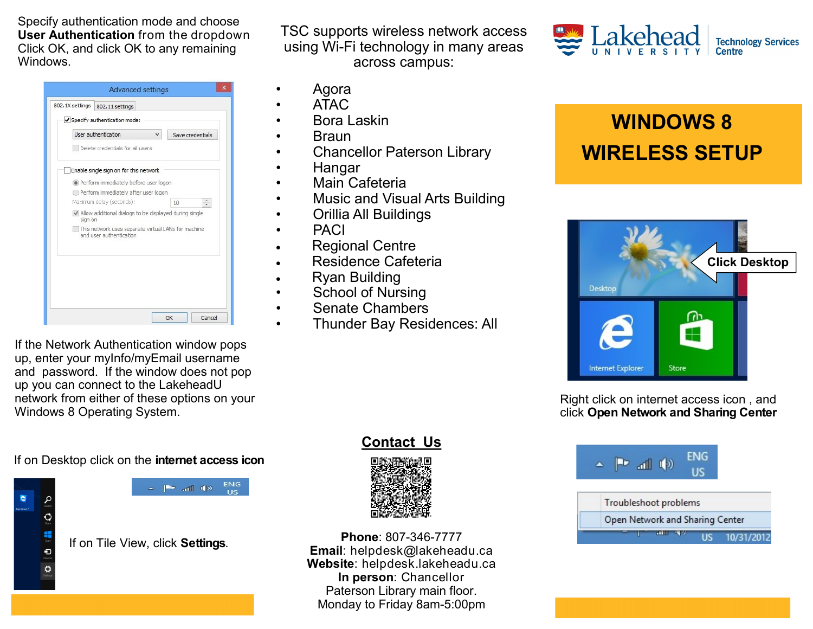Specify authentication mode and choose **User Authentication** from the dropdown Click OK, and click OK to any remaining Windows.

|         | User authentication<br>v                                                       | Save credentials |                 |
|---------|--------------------------------------------------------------------------------|------------------|-----------------|
|         | Delete credentials for all users                                               |                  |                 |
|         | Enable single sign on for this network                                         |                  |                 |
|         | Perform immediately before user logon                                          |                  |                 |
|         | Perform immediately after user logon                                           |                  |                 |
|         | Maximum delay (seconds):                                                       | 10               | $\frac{1}{\pi}$ |
| sign on | Allow additional dialogs to be displayed during single                         |                  |                 |
|         | This network uses separate virtual LANs for machine<br>and user authentication |                  |                 |
|         |                                                                                |                  |                 |
|         |                                                                                |                  |                 |
|         |                                                                                |                  |                 |
|         |                                                                                |                  |                 |
|         |                                                                                |                  |                 |

TSC supports wireless network access using Wi-Fi technology in many areas across campus:

- Agora
- ATAC
- Bora Laskin
- Braun
- Chancellor Paterson Library
- Hangar
- Main Cafeteria
- Music and Visual Arts Building
- Orillia All Buildings
- PACI
- Regional Centre
- Residence Cafeteria
- Ryan Building
- School of Nursing
- Senate Chambers
- Thunder Bay Residences: All

If the Network Authentication window pops up, enter your myInfo/myEmail username and password. If the window does not pop up you can connect to the LakeheadU network from either of these options on your Windows 8 Operating System.

If on Desktop click on the **internet access icon**



ENG  $\mathbb{P}^*$  and  $\Phi$ **US** 

If on Tile View, click **Settings**.

**Contact Us**



**Phone**: 807-346-7777 **Email**: helpdesk@lakeheadu.ca **Website**: helpdesk.lakeheadu.ca **In person**: Chancellor Paterson Library main floor. Monday to Friday 8am-5:00pm



## **WINDOWS 8 WIRELESS SETUP**



Right click on internet access icon , and click **Open Network and Sharing Center**



Open Network and Sharing Center

**US** 10/31/2012